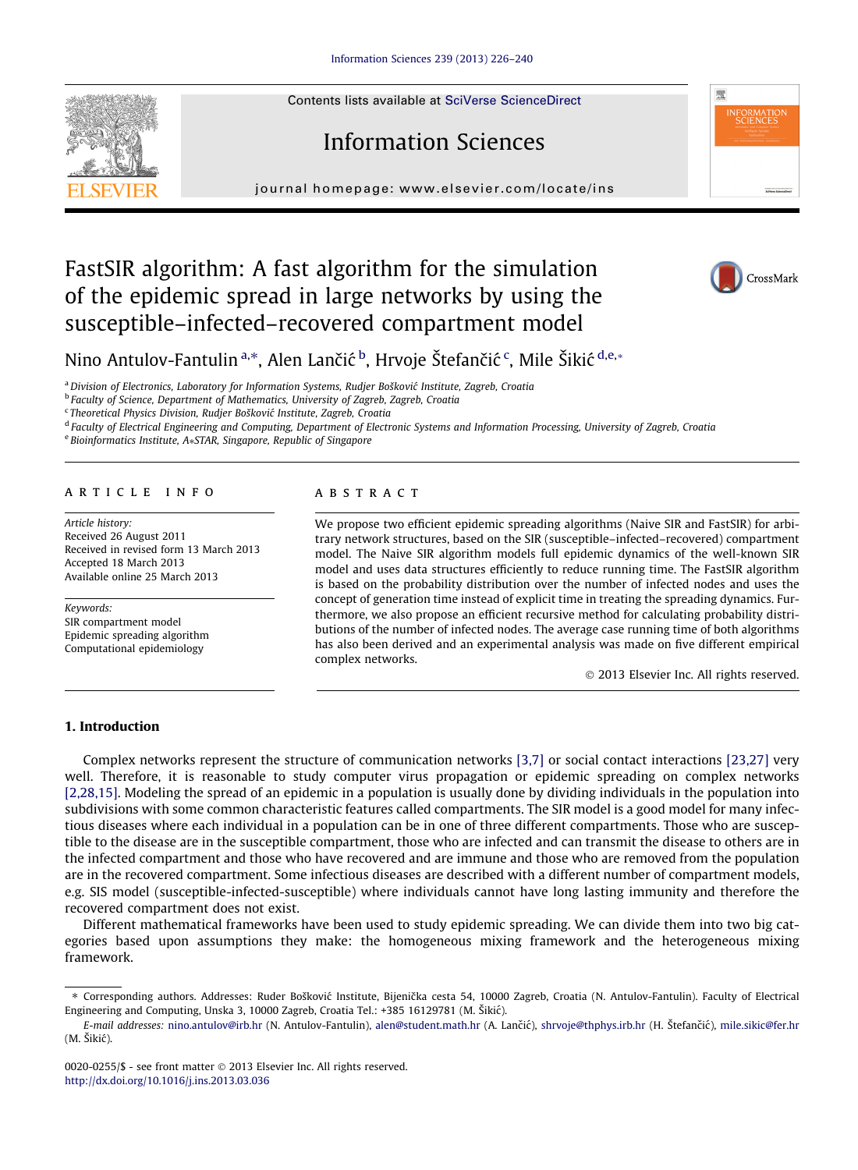Contents lists available at SciVerse ScienceDirect

# Information Sciences

journal homepage: [www.elsevier.com/locate/ins](http://www.elsevier.com/locate/ins)

### FastSIR algorithm: A fast algorithm for the simulation of the epidemic spread in large networks by using the susceptible–infected–recovered compartment model



NFORMATIO<br>SCIENCES

Nino Antulov-Fantulin ª,\*, Alen Lančić <sup>b</sup>, Hrvoje Štefančić <sup>c</sup>, Mile Šikić <sup>d,e,</sup>\*

<sup>a</sup> Division of Electronics, Laboratory for Information Systems, Rudier Bošković Institute, Zagreb, Croatia

<sup>b</sup> Faculty of Science, Department of Mathematics, University of Zagreb, Zagreb, Croatia

<sup>c</sup> Theoretical Physics Division, Rudjer Bošković Institute, Zagreb, Croatia

<sup>d</sup> Faculty of Electrical Engineering and Computing, Department of Electronic Systems and Information Processing, University of Zagreb, Croatia

e Bioinformatics Institute, A\*STAR, Singapore, Republic of Singapore

#### article info

Article history: Received 26 August 2011 Received in revised form 13 March 2013 Accepted 18 March 2013 Available online 25 March 2013

Keywords: SIR compartment model Epidemic spreading algorithm Computational epidemiology

#### **ABSTRACT**

We propose two efficient epidemic spreading algorithms (Naive SIR and FastSIR) for arbitrary network structures, based on the SIR (susceptible–infected–recovered) compartment model. The Naive SIR algorithm models full epidemic dynamics of the well-known SIR model and uses data structures efficiently to reduce running time. The FastSIR algorithm is based on the probability distribution over the number of infected nodes and uses the concept of generation time instead of explicit time in treating the spreading dynamics. Furthermore, we also propose an efficient recursive method for calculating probability distributions of the number of infected nodes. The average case running time of both algorithms has also been derived and an experimental analysis was made on five different empirical complex networks.

- 2013 Elsevier Inc. All rights reserved.

#### 1. Introduction

Complex networks represent the structure of communication networks [\[3,7\]](#page--1-0) or social contact interactions [\[23,27\]](#page--1-0) very well. Therefore, it is reasonable to study computer virus propagation or epidemic spreading on complex networks [\[2,28,15\].](#page--1-0) Modeling the spread of an epidemic in a population is usually done by dividing individuals in the population into subdivisions with some common characteristic features called compartments. The SIR model is a good model for many infectious diseases where each individual in a population can be in one of three different compartments. Those who are susceptible to the disease are in the susceptible compartment, those who are infected and can transmit the disease to others are in the infected compartment and those who have recovered and are immune and those who are removed from the population are in the recovered compartment. Some infectious diseases are described with a different number of compartment models, e.g. SIS model (susceptible-infected-susceptible) where individuals cannot have long lasting immunity and therefore the recovered compartment does not exist.

Different mathematical frameworks have been used to study epidemic spreading. We can divide them into two big categories based upon assumptions they make: the homogeneous mixing framework and the heterogeneous mixing framework.

<sup>\*</sup> Corresponding authors. Addresses: Ruder Bošković Institute, Bijenička cesta 54, 10000 Zagreb, Croatia (N. Antulov-Fantulin). Faculty of Electrical Engineering and Computing, Unska 3, 10000 Zagreb, Croatia Tel.: +385 16129781 (M. Šikic´).

E-mail addresses: [nino.antulov@irb.hr](mailto:nino.antulov@irb.hr) (N. Antulov-Fantulin), [alen@student.math.hr](mailto:alen@student.math.hr) (A. Lančić), [shrvoje@thphys.irb.hr](mailto:shrvoje@thphys.irb.hr) (H. Štefančić), [mile.sikic@fer.hr](mailto:mile.sikic@fer.hr) (M. Šikic´).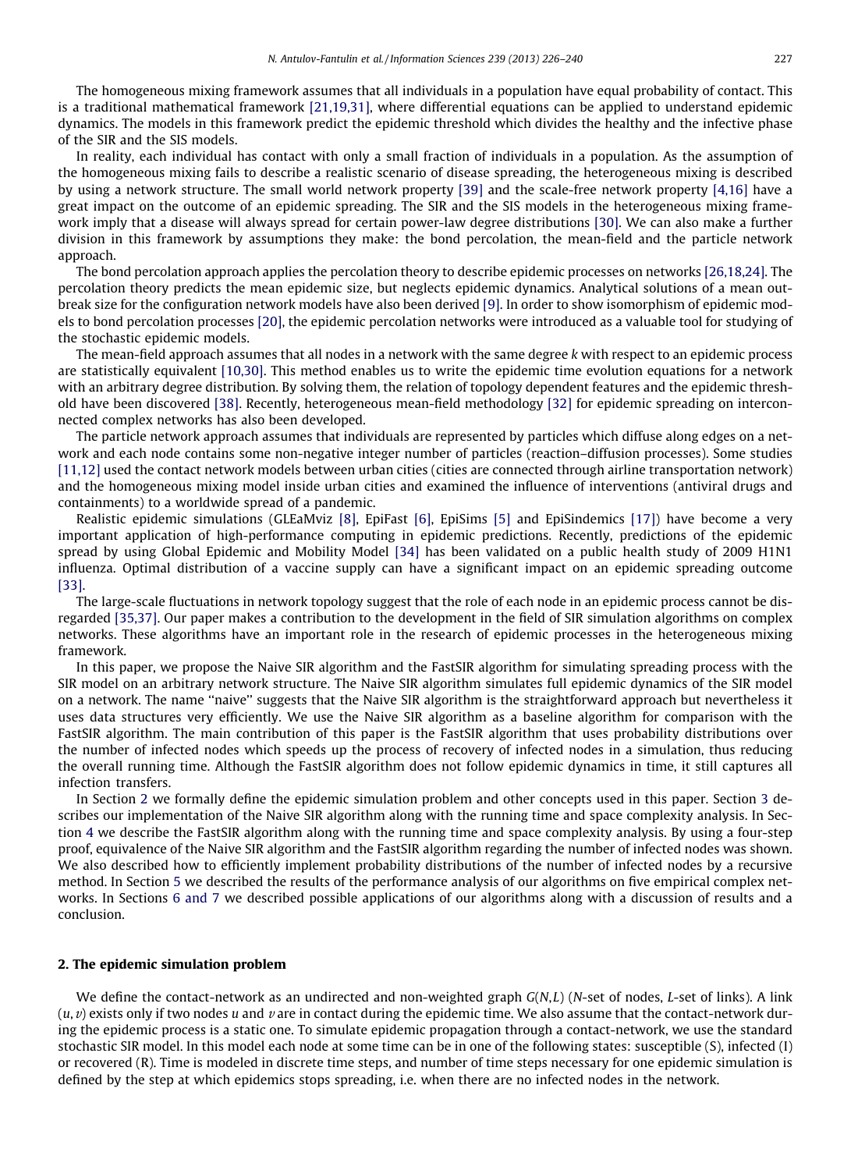The homogeneous mixing framework assumes that all individuals in a population have equal probability of contact. This is a traditional mathematical framework  $[21,19,31]$ , where differential equations can be applied to understand epidemic dynamics. The models in this framework predict the epidemic threshold which divides the healthy and the infective phase of the SIR and the SIS models.

In reality, each individua l has contact with only a small fraction of individuals in a population. As the assumption of the homogeneous mixing fails to describe a realistic scenario of disease spreading, the heterogeneous mixing is described by using a network structure. The small world network property [\[39\]](#page--1-0) and the scale-free network property [\[4,16\]](#page--1-0) have a great impact on the outcome of an epidemic spreading. The SIR and the SIS models in the heterogeneous mixing frame-work imply that a disease will always spread for certain power-law degree distributions [\[30\].](#page--1-0) We can also make a further division in this framework by assumptions they make: the bond percolation, the mean-field and the particle network approach.

The bond percolation approach applies the percolation theory to describe epidemic processes on networks [\[26,18,24\]](#page--1-0). The percolation theory predicts the mean epidemic size, but neglects epidemic dynamics. Analytical solutions of a mean outbreak size for the configuration network models have also been derived [\[9\]](#page--1-0). In order to show isomorphism of epidemic models to bond percolation processes [\[20\]](#page--1-0), the epidemic percolation networks were introduced as a valuable tool for studying of the stochastic epidemic models.

The mean-field approach assumes that all nodes in a network with the same degree k with respect to an epidemic process are statistically equivalent [\[10,30\]](#page--1-0). This method enables us to write the epidemic time evolution equations for a network with an arbitrary degree distribution. By solving them, the relation of topology dependent features and the epidemic thresh-old have been discovered [\[38\].](#page--1-0) Recently, heterogeneous mean-field methodology [\[32\]](#page--1-0) for epidemic spreading on interconnected complex networks has also been developed.

The particle network approach assumes that individuals are represented by particles which diffuse along edges on a network and each node contains some non-negative integer number of particles (reaction–diffusion processes). Some studies  $[11,12]$  used the contact network models between urban cities (cities are connected through airline transportation network) and the homogeneous mixing model inside urban cities and examined the influence of interventions (antiviral drugs and containments) to a worldwide spread of a pandemic.

Realistic epidemic simulations (GLEaMviz [\[8\],](#page--1-0) EpiFast [\[6\],](#page--1-0) EpiSims [\[5\]](#page--1-0) and EpiSindemics [\[17\]](#page--1-0)) have become a very important application of high-performance computing in epidemic predictions. Recently, predictions of the epidemic spread by using Global Epidemic and Mobility Model [\[34\]](#page--1-0) has been validated on a public health study of 2009 H1N1 influenza. Optimal distribution of a vaccine supply can have a significant impact on an epidemic spreading outcome [\[33\]](#page--1-0).

The large-scale fluctuations in network topology suggest that the role of each node in an epidemic process cannot be dis-regarded [\[35,37\].](#page--1-0) Our paper makes a contribution to the development in the field of SIR simulation algorithms on complex networks. These algorithms have an important role in the research of epidemic processes in the heterogeneous mixing framework.

In this paper, we propose the Naive SIR algorithm and the FastSIR algorithm for simulating spreading process with the SIR model on an arbitrary network structure. The Naive SIR algorithm simulates full epidemic dynamics of the SIR model on a network. The name ''naive'' suggests that the Naive SIR algorithm is the straightforw ard approach but nevertheless it uses data structures very efficiently. We use the Naive SIR algorithm as a baseline algorithm for comparison with the FastSIR algorithm. The main contribution of this paper is the FastSIR algorithm that uses probability distributions over the number of infected nodes which speeds up the process of recovery of infected nodes in a simulation, thus reducing the overall running time. Although the FastSIR algorithm does not follow epidemic dynamics in time, it still captures all infection transfers.

In Section 2 we formally define the epidemic simulation problem and other concepts used in this paper. Section 3 describes our implementation of the Naive SIR algorithm along with the running time and space complexity analysis. In Section 4 we describe the FastSIR algorithm along with the running time and space complexity analysis. By using a four-step proof, equivalence of the Naive SIR algorithm and the FastSIR algorithm regarding the number of infected nodes was shown. We also described how to efficiently implement probability distributions of the number of infected nodes by a recursive method. In Section 5 we described the results of the performance analysis of our algorithms on five empirical complex networks. In Sections 6 and 7 we described possible applications of our algorithms along with a discussion of results and a conclusion.

#### 2. The epidemic simulation problem

We define the contact-network as an undirected and non-weighted graph  $G(N,L)$  (N-set of nodes, L-set of links). A link  $(u, v)$  exists only if two nodes u and v are in contact during the epidemic time. We also assume that the contact-network during the epidemic process is a static one. To simulate epidemic propagation through a contact-network, we use the standard stochastic SIR model. In this model each node at some time can be in one of the following states: susceptible (S), infected (I) or recovered (R). Time is modeled in discrete time steps, and number of time steps necessary for one epidemic simulation is defined by the step at which epidemics stops spreading, i.e. when there are no infected nodes in the network.